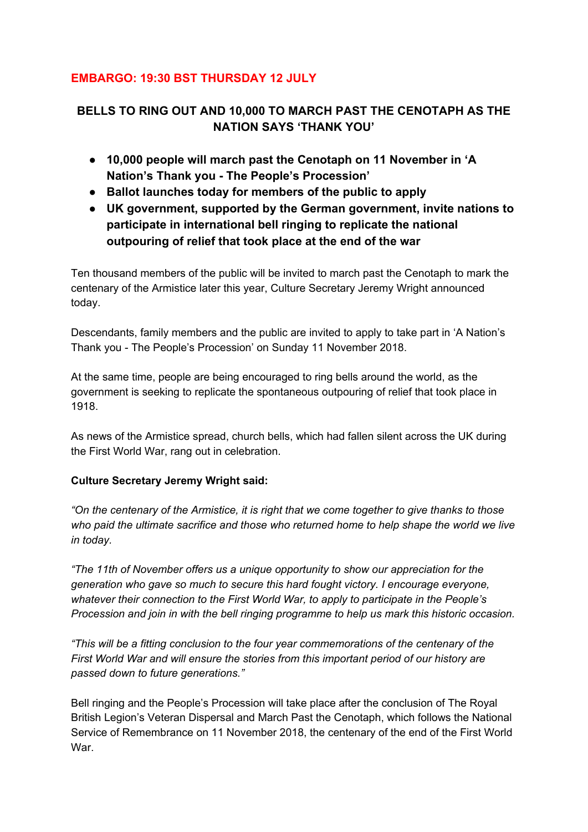## **EMBARGO: 19:30 BST THURSDAY 12 JULY**

# **BELLS TO RING OUT AND 10,000 TO MARCH PAST THE CENOTAPH AS THE NATION SAYS 'THANK YOU'**

- **● 10,000 people will march past the Cenotaph on 11 November in 'A Nation's Thank you - The People's Procession'**
- **● Ballot launches today for members of the public to apply**
- **● UK government, supported by the German government, invite nations to participate in international bell ringing to replicate the national outpouring of relief that took place at the end of the war**

Ten thousand members of the public will be invited to march past the Cenotaph to mark the centenary of the Armistice later this year, Culture Secretary Jeremy Wright announced today.

Descendants, family members and the public are invited to apply to take part in 'A Nation's Thank you - The People's Procession' on Sunday 11 November 2018.

At the same time, people are being encouraged to ring bells around the world, as the government is seeking to replicate the spontaneous outpouring of relief that took place in 1918.

As news of the Armistice spread, church bells, which had fallen silent across the UK during the First World War, rang out in celebration.

### **Culture Secretary Jeremy Wright said:**

*"On the centenary of the Armistice, it is right that we come together to give thanks to those who paid the ultimate sacrifice and those who returned home to help shape the world we live in today.*

*"The 11th of November offers us a unique opportunity to show our appreciation for the generation who gave so much to secure this hard fought victory. I encourage everyone, whatever their connection to the First World War, to apply to participate in the People's Procession and join in with the bell ringing programme to help us mark this historic occasion.*

*"This will be a fitting conclusion to the four year commemorations of the centenary of the First World War and will ensure the stories from this important period of our history are passed down to future generations."*

Bell ringing and the People's Procession will take place after the conclusion of The Royal British Legion's Veteran Dispersal and March Past the Cenotaph, which follows the National Service of Remembrance on 11 November 2018, the centenary of the end of the First World War.